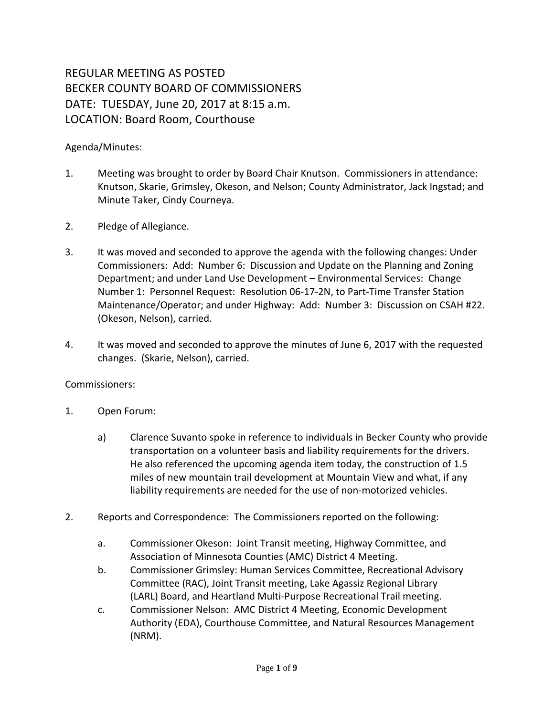## REGULAR MEETING AS POSTED BECKER COUNTY BOARD OF COMMISSIONERS DATE: TUESDAY, June 20, 2017 at 8:15 a.m. LOCATION: Board Room, Courthouse

## Agenda/Minutes:

- 1. Meeting was brought to order by Board Chair Knutson. Commissioners in attendance: Knutson, Skarie, Grimsley, Okeson, and Nelson; County Administrator, Jack Ingstad; and Minute Taker, Cindy Courneya.
- 2. Pledge of Allegiance.
- 3. It was moved and seconded to approve the agenda with the following changes: Under Commissioners: Add: Number 6: Discussion and Update on the Planning and Zoning Department; and under Land Use Development – Environmental Services: Change Number 1: Personnel Request: Resolution 06-17-2N, to Part-Time Transfer Station Maintenance/Operator; and under Highway: Add: Number 3: Discussion on CSAH #22. (Okeson, Nelson), carried.
- 4. It was moved and seconded to approve the minutes of June 6, 2017 with the requested changes. (Skarie, Nelson), carried.

## Commissioners:

- 1. Open Forum:
	- a) Clarence Suvanto spoke in reference to individuals in Becker County who provide transportation on a volunteer basis and liability requirements for the drivers. He also referenced the upcoming agenda item today, the construction of 1.5 miles of new mountain trail development at Mountain View and what, if any liability requirements are needed for the use of non-motorized vehicles.
- 2. Reports and Correspondence: The Commissioners reported on the following:
	- a. Commissioner Okeson: Joint Transit meeting, Highway Committee, and Association of Minnesota Counties (AMC) District 4 Meeting.
	- b. Commissioner Grimsley: Human Services Committee, Recreational Advisory Committee (RAC), Joint Transit meeting, Lake Agassiz Regional Library (LARL) Board, and Heartland Multi-Purpose Recreational Trail meeting.
	- c. Commissioner Nelson: AMC District 4 Meeting, Economic Development Authority (EDA), Courthouse Committee, and Natural Resources Management (NRM).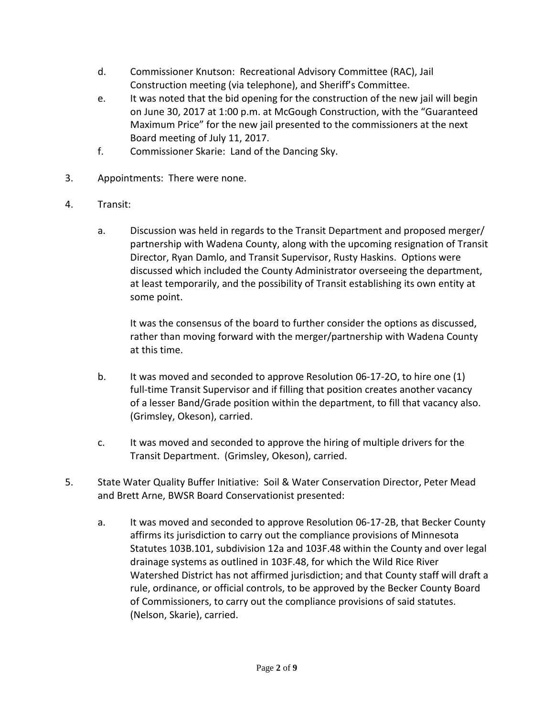- d. Commissioner Knutson: Recreational Advisory Committee (RAC), Jail Construction meeting (via telephone), and Sheriff's Committee.
- e. It was noted that the bid opening for the construction of the new jail will begin on June 30, 2017 at 1:00 p.m. at McGough Construction, with the "Guaranteed Maximum Price" for the new jail presented to the commissioners at the next Board meeting of July 11, 2017.
- f. Commissioner Skarie: Land of the Dancing Sky.
- 3. Appointments: There were none.
- 4. Transit:
	- a. Discussion was held in regards to the Transit Department and proposed merger/ partnership with Wadena County, along with the upcoming resignation of Transit Director, Ryan Damlo, and Transit Supervisor, Rusty Haskins. Options were discussed which included the County Administrator overseeing the department, at least temporarily, and the possibility of Transit establishing its own entity at some point.

It was the consensus of the board to further consider the options as discussed, rather than moving forward with the merger/partnership with Wadena County at this time.

- b. It was moved and seconded to approve Resolution 06-17-2O, to hire one (1) full-time Transit Supervisor and if filling that position creates another vacancy of a lesser Band/Grade position within the department, to fill that vacancy also. (Grimsley, Okeson), carried.
- c. It was moved and seconded to approve the hiring of multiple drivers for the Transit Department. (Grimsley, Okeson), carried.
- 5. State Water Quality Buffer Initiative: Soil & Water Conservation Director, Peter Mead and Brett Arne, BWSR Board Conservationist presented:
	- a. It was moved and seconded to approve Resolution 06-17-2B, that Becker County affirms its jurisdiction to carry out the compliance provisions of Minnesota Statutes 103B.101, subdivision 12a and 103F.48 within the County and over legal drainage systems as outlined in 103F.48, for which the Wild Rice River Watershed District has not affirmed jurisdiction; and that County staff will draft a rule, ordinance, or official controls, to be approved by the Becker County Board of Commissioners, to carry out the compliance provisions of said statutes. (Nelson, Skarie), carried.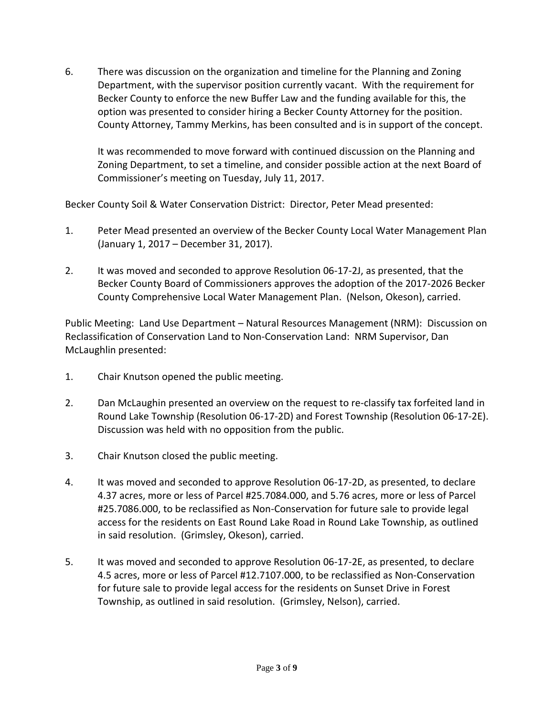6. There was discussion on the organization and timeline for the Planning and Zoning Department, with the supervisor position currently vacant. With the requirement for Becker County to enforce the new Buffer Law and the funding available for this, the option was presented to consider hiring a Becker County Attorney for the position. County Attorney, Tammy Merkins, has been consulted and is in support of the concept.

It was recommended to move forward with continued discussion on the Planning and Zoning Department, to set a timeline, and consider possible action at the next Board of Commissioner's meeting on Tuesday, July 11, 2017.

Becker County Soil & Water Conservation District: Director, Peter Mead presented:

- 1. Peter Mead presented an overview of the Becker County Local Water Management Plan (January 1, 2017 – December 31, 2017).
- 2. It was moved and seconded to approve Resolution 06-17-2J, as presented, that the Becker County Board of Commissioners approves the adoption of the 2017-2026 Becker County Comprehensive Local Water Management Plan. (Nelson, Okeson), carried.

Public Meeting: Land Use Department – Natural Resources Management (NRM): Discussion on Reclassification of Conservation Land to Non-Conservation Land: NRM Supervisor, Dan McLaughlin presented:

- 1. Chair Knutson opened the public meeting.
- 2. Dan McLaughin presented an overview on the request to re-classify tax forfeited land in Round Lake Township (Resolution 06-17-2D) and Forest Township (Resolution 06-17-2E). Discussion was held with no opposition from the public.
- 3. Chair Knutson closed the public meeting.
- 4. It was moved and seconded to approve Resolution 06-17-2D, as presented, to declare 4.37 acres, more or less of Parcel #25.7084.000, and 5.76 acres, more or less of Parcel #25.7086.000, to be reclassified as Non-Conservation for future sale to provide legal access for the residents on East Round Lake Road in Round Lake Township, as outlined in said resolution. (Grimsley, Okeson), carried.
- 5. It was moved and seconded to approve Resolution 06-17-2E, as presented, to declare 4.5 acres, more or less of Parcel #12.7107.000, to be reclassified as Non-Conservation for future sale to provide legal access for the residents on Sunset Drive in Forest Township, as outlined in said resolution. (Grimsley, Nelson), carried.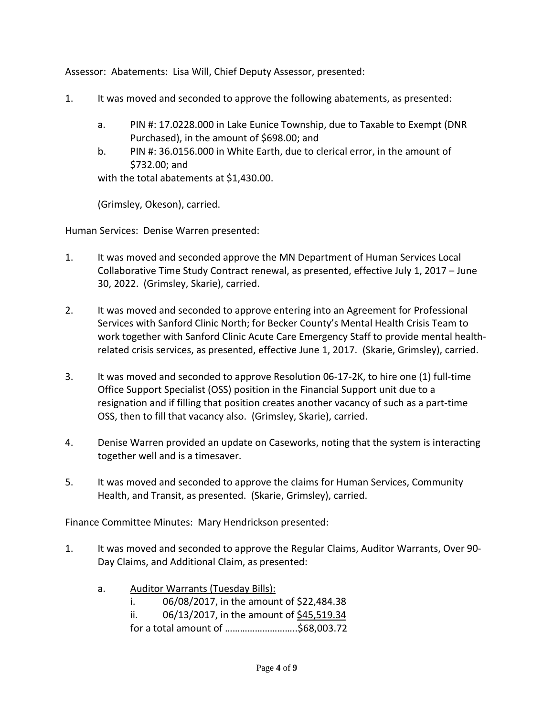Assessor: Abatements: Lisa Will, Chief Deputy Assessor, presented:

- 1. It was moved and seconded to approve the following abatements, as presented:
	- a. PIN #: 17.0228.000 in Lake Eunice Township, due to Taxable to Exempt (DNR Purchased), in the amount of \$698.00; and
	- b. PIN #: 36.0156.000 in White Earth, due to clerical error, in the amount of \$732.00; and

with the total abatements at \$1,430.00.

(Grimsley, Okeson), carried.

Human Services: Denise Warren presented:

- 1. It was moved and seconded approve the MN Department of Human Services Local Collaborative Time Study Contract renewal, as presented, effective July 1, 2017 – June 30, 2022. (Grimsley, Skarie), carried.
- 2. It was moved and seconded to approve entering into an Agreement for Professional Services with Sanford Clinic North; for Becker County's Mental Health Crisis Team to work together with Sanford Clinic Acute Care Emergency Staff to provide mental healthrelated crisis services, as presented, effective June 1, 2017. (Skarie, Grimsley), carried.
- 3. It was moved and seconded to approve Resolution 06-17-2K, to hire one (1) full-time Office Support Specialist (OSS) position in the Financial Support unit due to a resignation and if filling that position creates another vacancy of such as a part-time OSS, then to fill that vacancy also. (Grimsley, Skarie), carried.
- 4. Denise Warren provided an update on Caseworks, noting that the system is interacting together well and is a timesaver.
- 5. It was moved and seconded to approve the claims for Human Services, Community Health, and Transit, as presented. (Skarie, Grimsley), carried.

Finance Committee Minutes: Mary Hendrickson presented:

- 1. It was moved and seconded to approve the Regular Claims, Auditor Warrants, Over 90- Day Claims, and Additional Claim, as presented:
	- a. Auditor Warrants (Tuesday Bills):
		- i. 06/08/2017, in the amount of \$22,484.38
		- ii. 06/13/2017, in the amount of \$45,519.34
		- for a total amount of ………………………..\$68,003.72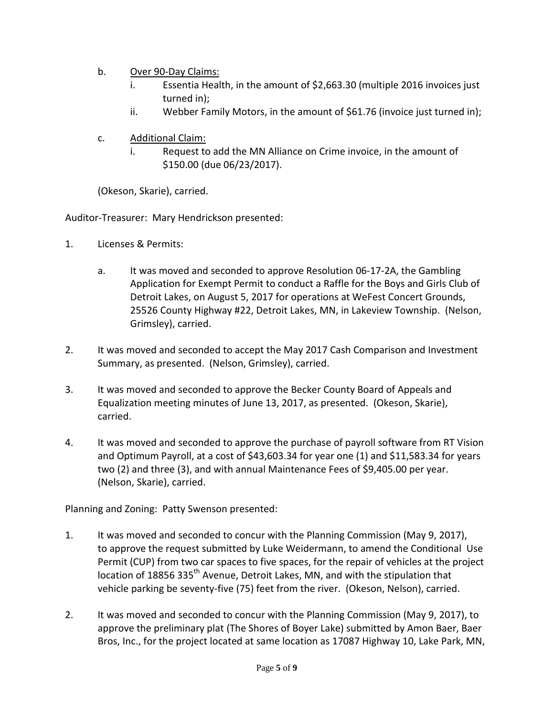- b. Over 90-Day Claims:
	- i. Essentia Health, in the amount of \$2,663.30 (multiple 2016 invoices just turned in);
	- ii. Webber Family Motors, in the amount of \$61.76 (invoice just turned in);
- c. Additional Claim:
	- i. Request to add the MN Alliance on Crime invoice, in the amount of \$150.00 (due 06/23/2017).

(Okeson, Skarie), carried.

Auditor-Treasurer: Mary Hendrickson presented:

- 1. Licenses & Permits:
	- a. It was moved and seconded to approve Resolution 06-17-2A, the Gambling Application for Exempt Permit to conduct a Raffle for the Boys and Girls Club of Detroit Lakes, on August 5, 2017 for operations at WeFest Concert Grounds, 25526 County Highway #22, Detroit Lakes, MN, in Lakeview Township. (Nelson, Grimsley), carried.
- 2. It was moved and seconded to accept the May 2017 Cash Comparison and Investment Summary, as presented. (Nelson, Grimsley), carried.
- 3. It was moved and seconded to approve the Becker County Board of Appeals and Equalization meeting minutes of June 13, 2017, as presented. (Okeson, Skarie), carried.
- 4. It was moved and seconded to approve the purchase of payroll software from RT Vision and Optimum Payroll, at a cost of \$43,603.34 for year one (1) and \$11,583.34 for years two (2) and three (3), and with annual Maintenance Fees of \$9,405.00 per year. (Nelson, Skarie), carried.

Planning and Zoning: Patty Swenson presented:

- 1. It was moved and seconded to concur with the Planning Commission (May 9, 2017), to approve the request submitted by Luke Weidermann, to amend the Conditional Use Permit (CUP) from two car spaces to five spaces, for the repair of vehicles at the project location of 18856 335<sup>th</sup> Avenue, Detroit Lakes, MN, and with the stipulation that vehicle parking be seventy-five (75) feet from the river. (Okeson, Nelson), carried.
- 2. It was moved and seconded to concur with the Planning Commission (May 9, 2017), to approve the preliminary plat (The Shores of Boyer Lake) submitted by Amon Baer, Baer Bros, Inc., for the project located at same location as 17087 Highway 10, Lake Park, MN,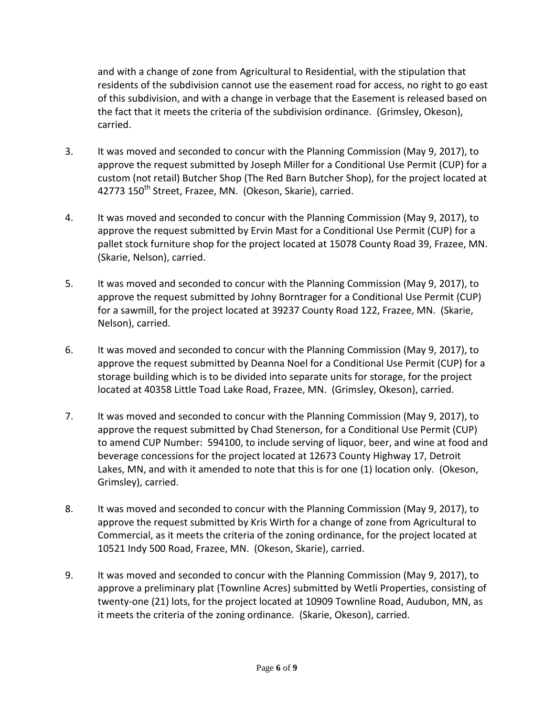and with a change of zone from Agricultural to Residential, with the stipulation that residents of the subdivision cannot use the easement road for access, no right to go east of this subdivision, and with a change in verbage that the Easement is released based on the fact that it meets the criteria of the subdivision ordinance. (Grimsley, Okeson), carried.

- 3. It was moved and seconded to concur with the Planning Commission (May 9, 2017), to approve the request submitted by Joseph Miller for a Conditional Use Permit (CUP) for a custom (not retail) Butcher Shop (The Red Barn Butcher Shop), for the project located at 42773 150<sup>th</sup> Street, Frazee, MN. (Okeson, Skarie), carried.
- 4. It was moved and seconded to concur with the Planning Commission (May 9, 2017), to approve the request submitted by Ervin Mast for a Conditional Use Permit (CUP) for a pallet stock furniture shop for the project located at 15078 County Road 39, Frazee, MN. (Skarie, Nelson), carried.
- 5. It was moved and seconded to concur with the Planning Commission (May 9, 2017), to approve the request submitted by Johny Borntrager for a Conditional Use Permit (CUP) for a sawmill, for the project located at 39237 County Road 122, Frazee, MN. (Skarie, Nelson), carried.
- 6. It was moved and seconded to concur with the Planning Commission (May 9, 2017), to approve the request submitted by Deanna Noel for a Conditional Use Permit (CUP) for a storage building which is to be divided into separate units for storage, for the project located at 40358 Little Toad Lake Road, Frazee, MN. (Grimsley, Okeson), carried.
- 7. It was moved and seconded to concur with the Planning Commission (May 9, 2017), to approve the request submitted by Chad Stenerson, for a Conditional Use Permit (CUP) to amend CUP Number: 594100, to include serving of liquor, beer, and wine at food and beverage concessions for the project located at 12673 County Highway 17, Detroit Lakes, MN, and with it amended to note that this is for one (1) location only. (Okeson, Grimsley), carried.
- 8. It was moved and seconded to concur with the Planning Commission (May 9, 2017), to approve the request submitted by Kris Wirth for a change of zone from Agricultural to Commercial, as it meets the criteria of the zoning ordinance, for the project located at 10521 Indy 500 Road, Frazee, MN. (Okeson, Skarie), carried.
- 9. It was moved and seconded to concur with the Planning Commission (May 9, 2017), to approve a preliminary plat (Townline Acres) submitted by Wetli Properties, consisting of twenty-one (21) lots, for the project located at 10909 Townline Road, Audubon, MN, as it meets the criteria of the zoning ordinance. (Skarie, Okeson), carried.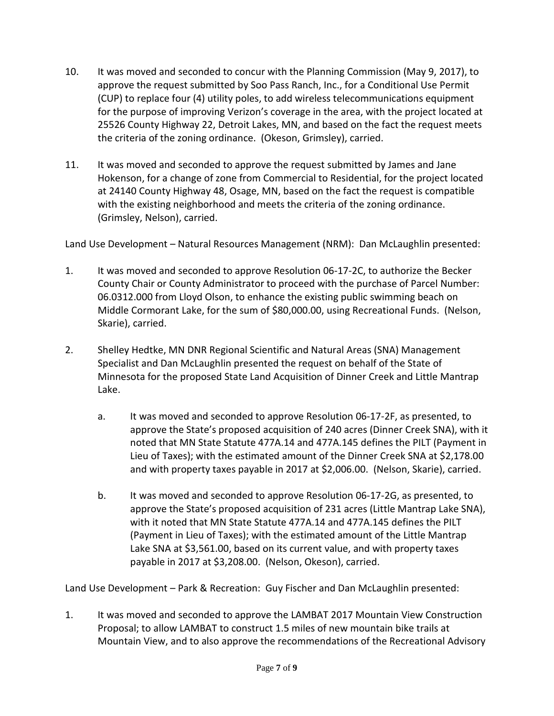- 10. It was moved and seconded to concur with the Planning Commission (May 9, 2017), to approve the request submitted by Soo Pass Ranch, Inc., for a Conditional Use Permit (CUP) to replace four (4) utility poles, to add wireless telecommunications equipment for the purpose of improving Verizon's coverage in the area, with the project located at 25526 County Highway 22, Detroit Lakes, MN, and based on the fact the request meets the criteria of the zoning ordinance. (Okeson, Grimsley), carried.
- 11. It was moved and seconded to approve the request submitted by James and Jane Hokenson, for a change of zone from Commercial to Residential, for the project located at 24140 County Highway 48, Osage, MN, based on the fact the request is compatible with the existing neighborhood and meets the criteria of the zoning ordinance. (Grimsley, Nelson), carried.

Land Use Development – Natural Resources Management (NRM): Dan McLaughlin presented:

- 1. It was moved and seconded to approve Resolution 06-17-2C, to authorize the Becker County Chair or County Administrator to proceed with the purchase of Parcel Number: 06.0312.000 from Lloyd Olson, to enhance the existing public swimming beach on Middle Cormorant Lake, for the sum of \$80,000.00, using Recreational Funds. (Nelson, Skarie), carried.
- 2. Shelley Hedtke, MN DNR Regional Scientific and Natural Areas (SNA) Management Specialist and Dan McLaughlin presented the request on behalf of the State of Minnesota for the proposed State Land Acquisition of Dinner Creek and Little Mantrap Lake.
	- a. It was moved and seconded to approve Resolution 06-17-2F, as presented, to approve the State's proposed acquisition of 240 acres (Dinner Creek SNA), with it noted that MN State Statute 477A.14 and 477A.145 defines the PILT (Payment in Lieu of Taxes); with the estimated amount of the Dinner Creek SNA at \$2,178.00 and with property taxes payable in 2017 at \$2,006.00. (Nelson, Skarie), carried.
	- b. It was moved and seconded to approve Resolution 06-17-2G, as presented, to approve the State's proposed acquisition of 231 acres (Little Mantrap Lake SNA), with it noted that MN State Statute 477A.14 and 477A.145 defines the PILT (Payment in Lieu of Taxes); with the estimated amount of the Little Mantrap Lake SNA at \$3,561.00, based on its current value, and with property taxes payable in 2017 at \$3,208.00. (Nelson, Okeson), carried.

Land Use Development – Park & Recreation: Guy Fischer and Dan McLaughlin presented:

1. It was moved and seconded to approve the LAMBAT 2017 Mountain View Construction Proposal; to allow LAMBAT to construct 1.5 miles of new mountain bike trails at Mountain View, and to also approve the recommendations of the Recreational Advisory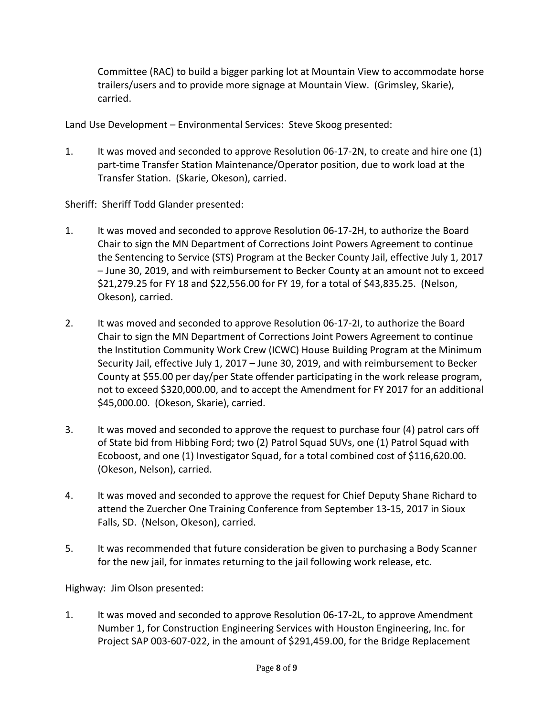Committee (RAC) to build a bigger parking lot at Mountain View to accommodate horse trailers/users and to provide more signage at Mountain View. (Grimsley, Skarie), carried.

Land Use Development – Environmental Services: Steve Skoog presented:

1. It was moved and seconded to approve Resolution 06-17-2N, to create and hire one (1) part-time Transfer Station Maintenance/Operator position, due to work load at the Transfer Station. (Skarie, Okeson), carried.

Sheriff: Sheriff Todd Glander presented:

- 1. It was moved and seconded to approve Resolution 06-17-2H, to authorize the Board Chair to sign the MN Department of Corrections Joint Powers Agreement to continue the Sentencing to Service (STS) Program at the Becker County Jail, effective July 1, 2017 – June 30, 2019, and with reimbursement to Becker County at an amount not to exceed \$21,279.25 for FY 18 and \$22,556.00 for FY 19, for a total of \$43,835.25. (Nelson, Okeson), carried.
- 2. It was moved and seconded to approve Resolution 06-17-2I, to authorize the Board Chair to sign the MN Department of Corrections Joint Powers Agreement to continue the Institution Community Work Crew (ICWC) House Building Program at the Minimum Security Jail, effective July 1, 2017 – June 30, 2019, and with reimbursement to Becker County at \$55.00 per day/per State offender participating in the work release program, not to exceed \$320,000.00, and to accept the Amendment for FY 2017 for an additional \$45,000.00. (Okeson, Skarie), carried.
- 3. It was moved and seconded to approve the request to purchase four (4) patrol cars off of State bid from Hibbing Ford; two (2) Patrol Squad SUVs, one (1) Patrol Squad with Ecoboost, and one (1) Investigator Squad, for a total combined cost of \$116,620.00. (Okeson, Nelson), carried.
- 4. It was moved and seconded to approve the request for Chief Deputy Shane Richard to attend the Zuercher One Training Conference from September 13-15, 2017 in Sioux Falls, SD. (Nelson, Okeson), carried.
- 5. It was recommended that future consideration be given to purchasing a Body Scanner for the new jail, for inmates returning to the jail following work release, etc.

Highway: Jim Olson presented:

1. It was moved and seconded to approve Resolution 06-17-2L, to approve Amendment Number 1, for Construction Engineering Services with Houston Engineering, Inc. for Project SAP 003-607-022, in the amount of \$291,459.00, for the Bridge Replacement